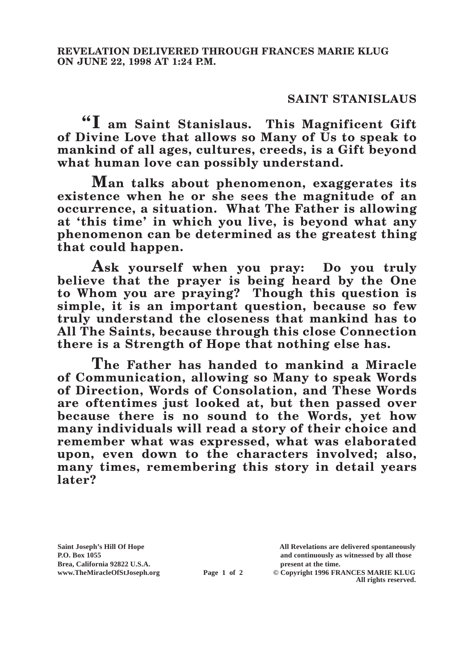## **SAINT STANISLAUS**

**"I am Saint Stanislaus. This Magnificent Gift of Divine Love that allows so Many of Us to speak to mankind of all ages, cultures, creeds, is a Gift beyond what human love can possibly understand.**

**Man talks about phenomenon, exaggerates its existence when he or she sees the magnitude of an occurrence, a situation. What The Father is allowing at 'this time' in which you live, is beyond what any phenomenon can be determined as the greatest thing that could happen.**

**Ask yourself when you pray: Do you truly believe that the prayer is being heard by the One to Whom you are praying? Though this question is simple, it is an important question, because so few truly understand the closeness that mankind has to All The Saints, because through this close Connection there is a Strength of Hope that nothing else has.**

**The Father has handed to mankind a Miracle of Communication, allowing so Many to speak Words of Direction, Words of Consolation, and These Words are oftentimes just looked at, but then passed over because there is no sound to the Words, yet how many individuals will read a story of their choice and remember what was expressed, what was elaborated upon, even down to the characters involved; also, many times, remembering this story in detail years later?**

**Brea, California 92822 U.S.A. present at the time.**<br> **present at the time.**<br> **present at the time.**<br> **present at the time.**<br> **present at the time.**<br> **present at the time.** 

**Saint Joseph's Hill Of Hope All Revelations are delivered spontaneously P.O. Box 1055 and continuously as witnessed by all those** 

**Page 1 of 2** © Copyright 1996 FRANCES MARIE KLUG **All rights reserved.**